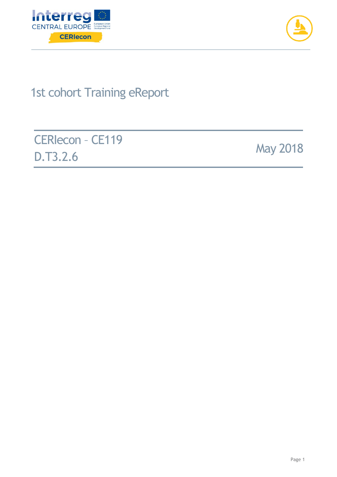



# 1st cohort Training eReport

CERIecon – CE119 **D.T3.2.6** May 2018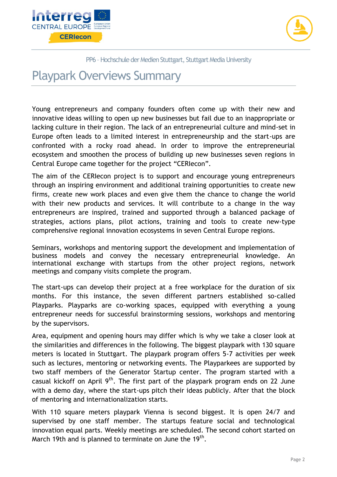



PP6 - Hochschule der Medien Stuttgart, Stuttgart Media University

## Playpark Overviews Summary

Young entrepreneurs and company founders often come up with their new and innovative ideas willing to open up new businesses but fail due to an inappropriate or lacking culture in their region. The lack of an entrepreneurial culture and mind-set in Europe often leads to a limited interest in entrepreneurship and the start-ups are confronted with a rocky road ahead. In order to improve the entrepreneurial ecosystem and smoothen the process of building up new businesses seven regions in Central Europe came together for the project "CERIecon".

The aim of the CERIecon project is to support and encourage young entrepreneurs through an inspiring environment and additional training opportunities to create new firms, create new work places and even give them the chance to change the world with their new products and services. It will contribute to a change in the way entrepreneurs are inspired, trained and supported through a balanced package of strategies, actions plans, pilot actions, training and tools to create new-type comprehensive regional innovation ecosystems in seven Central Europe regions.

Seminars, workshops and mentoring support the development and implementation of business models and convey the necessary entrepreneurial knowledge. An international exchange with startups from the other project regions, network meetings and company visits complete the program.

The start-ups can develop their project at a free workplace for the duration of six months. For this instance, the seven different partners established so-called Playparks. Playparks are co-working spaces, equipped with everything a young entrepreneur needs for successful brainstorming sessions, workshops and mentoring by the supervisors.

Area, equipment and opening hours may differ which is why we take a closer look at the similarities and differences in the following. The biggest playpark with 130 square meters is located in Stuttgart. The playpark program offers 5-7 activities per week such as lectures, mentoring or networking events. The Playparkees are supported by two staff members of the Generator Startup center. The program started with a casual kickoff on April  $9<sup>th</sup>$ . The first part of the playpark program ends on 22 June with a demo day, where the start-ups pitch their ideas publicly. After that the block of mentoring and internationalization starts.

With 110 square meters playpark Vienna is second biggest. It is open 24/7 and supervised by one staff member. The startups feature social and technological innovation equal parts. Weekly meetings are scheduled. The second cohort started on March 19th and is planned to terminate on June the 19<sup>th</sup>.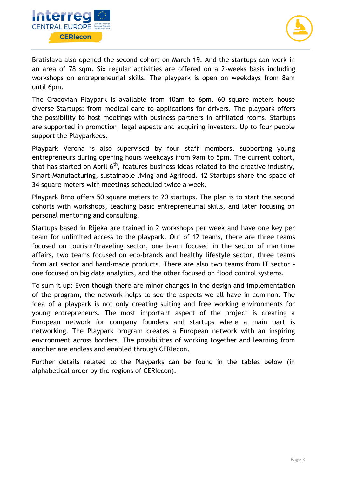



Bratislava also opened the second cohort on March 19. And the startups can work in an area of 78 sqm. Six regular activities are offered on a 2-weeks basis including workshops on entrepreneurial skills. The playpark is open on weekdays from 8am until 6pm.

The Cracovian Playpark is available from 10am to 6pm. 60 square meters house diverse Startups: from medical care to applications for drivers. The playpark offers the possibility to host meetings with business partners in affiliated rooms. Startups are supported in promotion, legal aspects and acquiring investors. Up to four people support the Playparkees.

Playpark Verona is also supervised by four staff members, supporting young entrepreneurs during opening hours weekdays from 9am to 5pm. The current cohort, that has started on April  $6<sup>th</sup>$ , features business ideas related to the creative industry, Smart-Manufacturing, sustainable living and Agrifood. 12 Startups share the space of 34 square meters with meetings scheduled twice a week.

Playpark Brno offers 50 square meters to 20 startups. The plan is to start the second cohorts with workshops, teaching basic entrepreneurial skills, and later focusing on personal mentoring and consulting.

Startups based in Rijeka are trained in 2 workshops per week and have one key per team for unlimited access to the playpark. Out of 12 teams, there are three teams focused on tourism/traveling sector, one team focused in the sector of maritime affairs, two teams focused on eco-brands and healthy lifestyle sector, three teams from art sector and hand-made products. There are also two teams from IT sector one focused on big data analytics, and the other focused on flood control systems.

To sum it up: Even though there are minor changes in the design and implementation of the program, the network helps to see the aspects we all have in common. The idea of a playpark is not only creating suiting and free working environments for young entrepreneurs. The most important aspect of the project is creating a European network for company founders and startups where a main part is networking. The Playpark program creates a European network with an inspiring environment across borders. The possibilities of working together and learning from another are endless and enabled through CERIecon.

Further details related to the Playparks can be found in the tables below (in alphabetical order by the regions of CERIecon).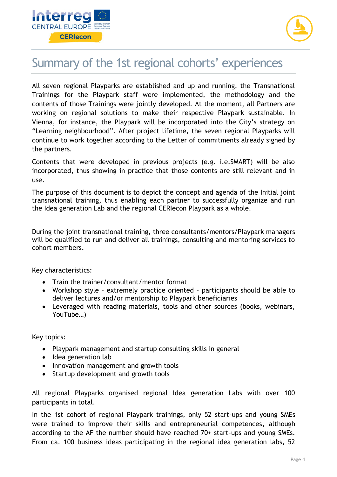



## Summary of the 1st regional cohorts' experiences

All seven regional Playparks are established and up and running, the Transnational Trainings for the Playpark staff were implemented, the methodology and the contents of those Trainings were jointly developed. At the moment, all Partners are working on regional solutions to make their respective Playpark sustainable. In Vienna, for instance, the Playpark will be incorporated into the City's strategy on "Learning neighbourhood". After project lifetime, the seven regional Playparks will continue to work together according to the Letter of commitments already signed by the partners.

Contents that were developed in previous projects (e.g. i.e.SMART) will be also incorporated, thus showing in practice that those contents are still relevant and in use.

The purpose of this document is to depict the concept and agenda of the Initial joint transnational training, thus enabling each partner to successfully organize and run the Idea generation Lab and the regional CERIecon Playpark as a whole.

During the joint transnational training, three consultants/mentors/Playpark managers will be qualified to run and deliver all trainings, consulting and mentoring services to cohort members.

Key characteristics:

- Train the trainer/consultant/mentor format
- Workshop style extremely practice oriented participants should be able to deliver lectures and/or mentorship to Playpark beneficiaries
- Leveraged with reading materials, tools and other sources (books, webinars, YouTube…)

Key topics:

- Playpark management and startup consulting skills in general
- Idea generation lab
- Innovation management and growth tools
- Startup development and growth tools

All regional Playparks organised regional Idea generation Labs with over 100 participants in total.

In the 1st cohort of regional Playpark trainings, only 52 start-ups and young SMEs were trained to improve their skills and entrepreneurial competences, although according to the AF the number should have reached 70+ start-ups and young SMEs. From ca. 100 business ideas participating in the regional idea generation labs, 52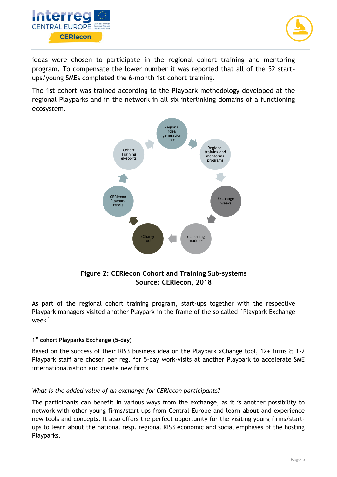



ideas were chosen to participate in the regional cohort training and mentoring program. To compensate the lower number it was reported that all of the 52 startups/young SMEs completed the 6-month 1st cohort training.

The 1st cohort was trained according to the Playpark methodology developed at the regional Playparks and in the network in all six interlinking domains of a functioning ecosystem.



#### **Figure 2: CERIecon Cohort and Training Sub-systems Source: CERIecon, 2018**

As part of the regional cohort training program, start-ups together with the respective Playpark managers visited another Playpark in the frame of the so called ´Playpark Exchange week´.

#### **1 st cohort Playparks Exchange (5-day)**

Based on the success of their RIS3 business idea on the Playpark xChange tool, 12+ firms & 1-2 Playpark staff are chosen per reg. for 5-day work-visits at another Playpark to accelerate SME internationalisation and create new firms

#### *What is the added value of an exchange for CERIecon participants?*

The participants can benefit in various ways from the exchange, as it is another possibility to network with other young firms/start-ups from Central Europe and learn about and experience new tools and concepts. It also offers the perfect opportunity for the visiting young firms/startups to learn about the national resp. regional RIS3 economic and social emphases of the hosting Playparks.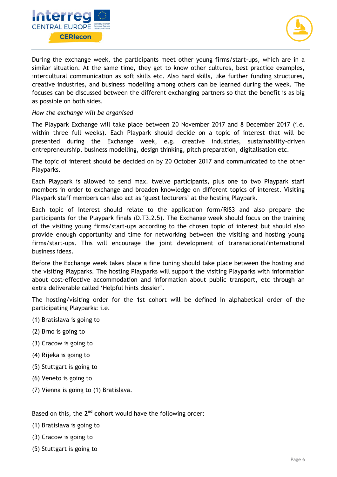



During the exchange week, the participants meet other young firms/start-ups, which are in a similar situation. At the same time, they get to know other cultures, best practice examples, intercultural communication as soft skills etc. Also hard skills, like further funding structures, creative industries, and business modelling among others can be learned during the week. The focuses can be discussed between the different exchanging partners so that the benefit is as big as possible on both sides.

#### *How the exchange will be organised*

The Playpark Exchange will take place between 20 November 2017 and 8 December 2017 (i.e. within three full weeks). Each Playpark should decide on a topic of interest that will be presented during the Exchange week, e.g. creative industries, sustainability-driven entrepreneurship, business modelling, design thinking, pitch preparation, digitalisation etc.

The topic of interest should be decided on by 20 October 2017 and communicated to the other Playparks.

Each Playpark is allowed to send max. twelve participants, plus one to two Playpark staff members in order to exchange and broaden knowledge on different topics of interest. Visiting Playpark staff members can also act as 'guest lecturers' at the hosting Playpark.

Each topic of interest should relate to the application form/RIS3 and also prepare the participants for the Playpark finals (D.T3.2.5). The Exchange week should focus on the training of the visiting young firms/start-ups according to the chosen topic of interest but should also provide enough opportunity and time for networking between the visiting and hosting young firms/start-ups. This will encourage the joint development of transnational/international business ideas.

Before the Exchange week takes place a fine tuning should take place between the hosting and the visiting Playparks. The hosting Playparks will support the visiting Playparks with information about cost-effective accommodation and information about public transport, etc through an extra deliverable called 'Helpful hints dossier'.

The hosting/visiting order for the 1st cohort will be defined in alphabetical order of the participating Playparks: i.e.

- (1) Bratislava is going to
- (2) Brno is going to
- (3) Cracow is going to
- (4) Rijeka is going to
- (5) Stuttgart is going to
- (6) Veneto is going to
- (7) Vienna is going to (1) Bratislava.

Based on this, the 2<sup>nd</sup> cohort would have the following order:

(1) Bratislava is going to

- (3) Cracow is going to
- (5) Stuttgart is going to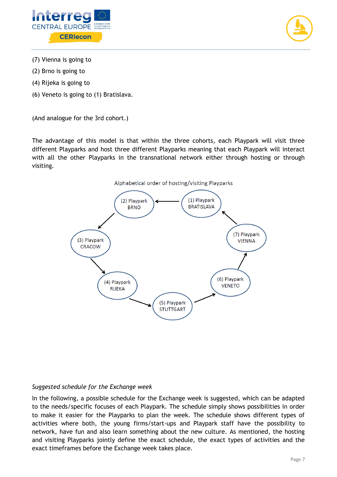



- (7) Vienna is going to
- (2) Brno is going to
- (4) Rijeka is going to
- (6) Veneto is going to (1) Bratislava.

(And analogue for the 3rd cohort.)

The advantage of this model is that within the three cohorts, each Playpark will visit three different Playparks and host three different Playparks meaning that each Playpark will interact with all the other Playparks in the transnational network either through hosting or through visiting.





#### *Suggested schedule for the Exchange week*

In the following, a possible schedule for the Exchange week is suggested, which can be adapted to the needs/specific focuses of each Playpark. The schedule simply shows possibilities in order to make it easier for the Playparks to plan the week. The schedule shows different types of activities where both, the young firms/start-ups and Playpark staff have the possibility to network, have fun and also learn something about the new culture. As mentioned, the hosting and visiting Playparks jointly define the exact schedule, the exact types of activities and the exact timeframes before the Exchange week takes place.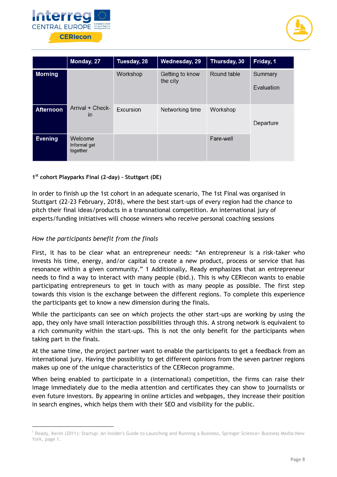



|                  | Monday, 27                          | Tuesday, 28      | Wednesday, 29               | Thursday, 30 | Friday, 1             |
|------------------|-------------------------------------|------------------|-----------------------------|--------------|-----------------------|
| <b>Morning</b>   |                                     | Workshop         | Getting to know<br>the city | Round table  | Summary<br>Evaluation |
| <b>Afternoon</b> | Arrival + Check-<br>$\mathsf{I}$    | <b>Excursion</b> | Networking time             | Workshop     | Departure             |
| <b>Evening</b>   | Welcome<br>Informal get<br>together |                  |                             | Fare-well    |                       |

#### **1 st cohort Playparks Final (2-day) – Stuttgart (DE)**

In order to finish up the 1st cohort in an adequate scenario, The 1st Final was organised in Stuttgart (22-23 February, 2018), where the best start-ups of every region had the chance to pitch their final ideas/products in a transnational competition. An international jury of experts/funding initiatives will choose winners who receive personal coaching sessions

#### *How the participants benefit from the finals*

-

First, it has to be clear what an entrepreneur needs: "An entrepreneur is a risk-taker who invests his time, energy, and/or capital to create a new product, process or service that has resonance within a given community." 1 Additionally, Ready emphasizes that an entrepreneur needs to find a way to interact with many people (ibid.). This is why CERIecon wants to enable participating entrepreneurs to get in touch with as many people as possible. The first step towards this vision is the exchange between the different regions. To complete this experience the participants get to know a new dimension during the finals.

While the participants can see on which projects the other start-ups are working by using the app, they only have small interaction possibilities through this. A strong network is equivalent to a rich community within the start-ups. This is not the only benefit for the participants when taking part in the finals.

At the same time, the project partner want to enable the participants to get a feedback from an international jury. Having the possibility to get different opinions from the seven partner regions makes up one of the unique characteristics of the CERIecon programme.

When being enabled to participate in a (international) competition, the firms can raise their image immediately due to the media attention and certificates they can show to journalists or even future investors. By appearing in online articles and webpages, they increase their position in search engines, which helps them with their SEO and visibility for the public.

<sup>&</sup>lt;sup>1</sup> Ready, Kevin (2011): Startup: An Insider's Guide to Launching and Running a Business, Springer Science+ Business Media:New York, page 1.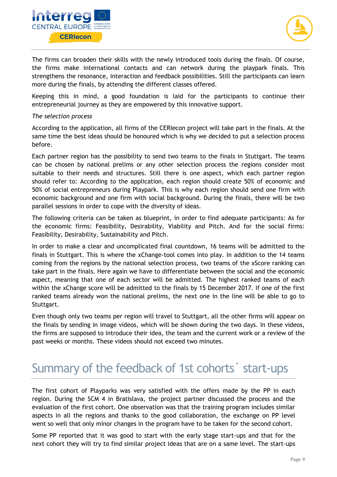



The firms can broaden their skills with the newly introduced tools during the finals. Of course, the firms make international contacts and can network during the playpark finals. This strengthens the resonance, interaction and feedback possibilities. Still the participants can learn more during the finals, by attending the different classes offered.

Keeping this in mind, a good foundation is laid for the participants to continue their entrepreneurial journey as they are empowered by this innovative support.

#### *The selection process*

According to the application, all firms of the CERIecon project will take part in the finals. At the same time the best ideas should be honoured which is why we decided to put a selection process before.

Each partner region has the possibility to send two teams to the finals in Stuttgart. The teams can be chosen by national prelims or any other selection process the regions consider most suitable to their needs and structures. Still there is one aspect, which each partner region should refer to: According to the application, each region should create 50% of economic and 50% of social entrepreneurs during Playpark. This is why each region should send one firm with economic background and one firm with social background. During the finals, there will be two parallel sessions in order to cope with the diversity of ideas.

The following criteria can be taken as blueprint, in order to find adequate participants: As for the economic firms: Feasibility, Desirability, Viability and Pitch. And for the social firms: Feasibility, Desirability, Sustainability and Pitch.

In order to make a clear and uncomplicated final countdown, 16 teams will be admitted to the finals in Stuttgart. This is where the xChange-tool comes into play. In addition to the 14 teams coming from the regions by the national selection process, two teams of the xScore ranking can take part in the finals. Here again we have to differentiate between the social and the economic aspect, meaning that one of each sector will be admitted. The highest ranked teams of each within the xChange score will be admitted to the finals by 15 December 2017. If one of the first ranked teams already won the national prelims, the next one in the line will be able to go to Stuttgart.

Even though only two teams per region will travel to Stuttgart, all the other firms will appear on the finals by sending in image videos, which will be shown during the two days. In these videos, the firms are supposed to introduce their idea, the team and the current work or a review of the past weeks or months. These videos should not exceed two minutes.

## Summary of the feedback of 1st cohorts´ start-ups

The first cohort of Playparks was very satisfied with the offers made by the PP in each region. During the SCM 4 in Bratislava, the project partner discussed the process and the evaluation of the first cohort. One observation was that the training program includes similar aspects in all the regions and thanks to the good collaboration, the exchange on PP level went so well that only minor changes in the program have to be taken for the second cohort.

Some PP reported that it was good to start with the early stage start-ups and that for the next cohort they will try to find similar project ideas that are on a same level. The start-ups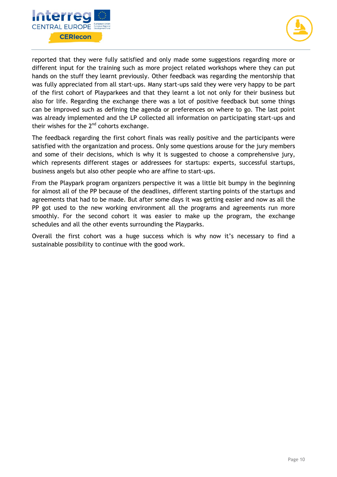



reported that they were fully satisfied and only made some suggestions regarding more or different input for the training such as more project related workshops where they can put hands on the stuff they learnt previously. Other feedback was regarding the mentorship that was fully appreciated from all start-ups. Many start-ups said they were very happy to be part of the first cohort of Playparkees and that they learnt a lot not only for their business but also for life. Regarding the exchange there was a lot of positive feedback but some things can be improved such as defining the agenda or preferences on where to go. The last point was already implemented and the LP collected all information on participating start-ups and their wishes for the  $2<sup>nd</sup>$  cohorts exchange.

The feedback regarding the first cohort finals was really positive and the participants were satisfied with the organization and process. Only some questions arouse for the jury members and some of their decisions, which is why it is suggested to choose a comprehensive jury, which represents different stages or addressees for startups: experts, successful startups, business angels but also other people who are affine to start-ups.

From the Playpark program organizers perspective it was a little bit bumpy in the beginning for almost all of the PP because of the deadlines, different starting points of the startups and agreements that had to be made. But after some days it was getting easier and now as all the PP got used to the new working environment all the programs and agreements run more smoothly. For the second cohort it was easier to make up the program, the exchange schedules and all the other events surrounding the Playparks.

Overall the first cohort was a huge success which is why now it's necessary to find a sustainable possibility to continue with the good work.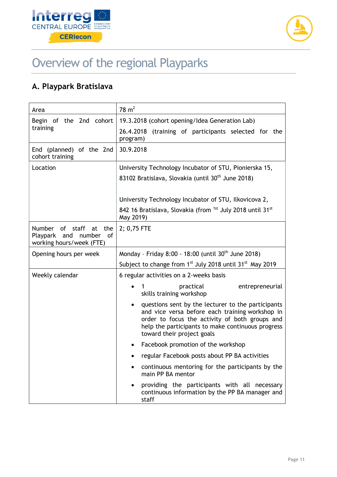



# Overview of the regional Playparks

### **A. Playpark Bratislava**

| Area                                                                                         | $78 \text{ m}^2$                                                                                                                                                                                                                                        |  |  |
|----------------------------------------------------------------------------------------------|---------------------------------------------------------------------------------------------------------------------------------------------------------------------------------------------------------------------------------------------------------|--|--|
| Begin of the 2nd cohort<br>training                                                          | 19.3.2018 (cohort opening/Idea Generation Lab)                                                                                                                                                                                                          |  |  |
|                                                                                              | 26.4.2018 (training of participants selected for the<br>program)                                                                                                                                                                                        |  |  |
| End (planned) of the 2nd<br>cohort training                                                  | 30.9.2018                                                                                                                                                                                                                                               |  |  |
| Location                                                                                     | University Technology Incubator of STU, Pionierska 15,                                                                                                                                                                                                  |  |  |
|                                                                                              | 83102 Bratislava, Slovakia (until 30 <sup>th</sup> June 2018)                                                                                                                                                                                           |  |  |
|                                                                                              | University Technology Incubator of STU, Ilkovicova 2,                                                                                                                                                                                                   |  |  |
|                                                                                              | 842 16 Bratislava, Slovakia (from <sup>1st</sup> July 2018 until 31 <sup>st</sup><br>May 2019)                                                                                                                                                          |  |  |
| of staff at<br><b>Number</b><br>the<br>Playpark and number<br>0f<br>working hours/week (FTE) | 2; 0,75 FTE                                                                                                                                                                                                                                             |  |  |
| Opening hours per week                                                                       | Monday - Friday 8:00 - 18:00 (until 30 <sup>th</sup> June 2018)                                                                                                                                                                                         |  |  |
|                                                                                              | Subject to change from 1st July 2018 until 31st May 2019                                                                                                                                                                                                |  |  |
| Weekly calendar                                                                              | 6 regular activities on a 2-weeks basis                                                                                                                                                                                                                 |  |  |
|                                                                                              | practical<br>entrepreneurial<br>skills training workshop                                                                                                                                                                                                |  |  |
|                                                                                              | questions sent by the lecturer to the participants<br>$\bullet$<br>and vice versa before each training workshop in<br>order to focus the activity of both groups and<br>help the participants to make continuous progress<br>toward their project goals |  |  |
|                                                                                              | Facebook promotion of the workshop                                                                                                                                                                                                                      |  |  |
|                                                                                              | regular Facebook posts about PP BA activities                                                                                                                                                                                                           |  |  |
|                                                                                              | continuous mentoring for the participants by the<br>main PP BA mentor                                                                                                                                                                                   |  |  |
|                                                                                              | providing the participants with all necessary<br>continuous information by the PP BA manager and<br>staff                                                                                                                                               |  |  |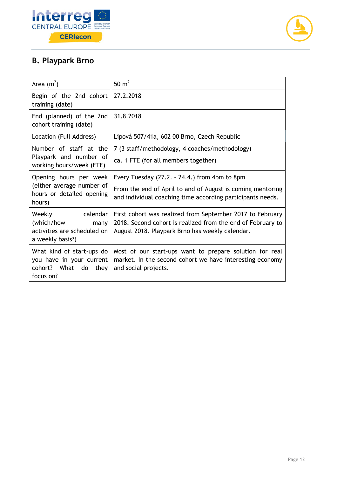



### **B. Playpark Brno**

| Area $(m^2)$                                                                                                 | 50 $m2$                                                                                                                                                                     |
|--------------------------------------------------------------------------------------------------------------|-----------------------------------------------------------------------------------------------------------------------------------------------------------------------------|
| Begin of the 2nd cohort<br>training (date)                                                                   | 27.2.2018                                                                                                                                                                   |
| End (planned) of the 2nd<br>cohort training (date)                                                           | 31.8.2018                                                                                                                                                                   |
| Location (Full Address)                                                                                      | Lipová 507/41a, 602 00 Brno, Czech Republic                                                                                                                                 |
| Number of staff at the                                                                                       | 7 (3 staff/methodology, 4 coaches/methodology)                                                                                                                              |
| Playpark and number of<br>working hours/week (FTE)                                                           | ca. 1 FTE (for all members together)                                                                                                                                        |
| Opening hours per week<br>(either average number of<br>hours or detailed opening<br>hours)                   | Every Tuesday $(27.2. - 24.4.)$ from 4pm to 8pm<br>From the end of April to and of August is coming mentoring<br>and individual coaching time according participants needs. |
| Weekly<br><b>Example 1</b> Calendar<br>(which/how<br>many<br>activities are scheduled on<br>a weekly basis?) | First cohort was realized from September 2017 to February<br>2018. Second cohort is realized from the end of February to<br>August 2018. Playpark Brno has weekly calendar. |
| What kind of start-ups do<br>you have in your current<br>cohort? What do they<br>focus on?                   | Most of our start-ups want to prepare solution for real<br>market. In the second cohort we have interesting economy<br>and social projects.                                 |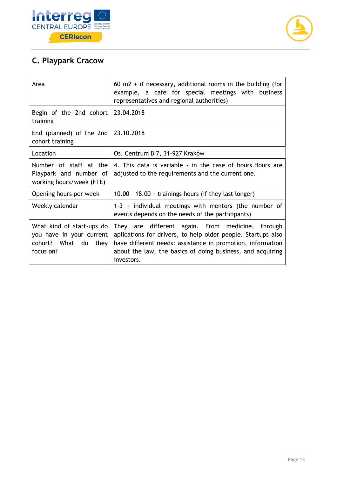



### **C. Playpark Cracow**

| Area                                                                                       | 60 m2 + if necessary, additional rooms in the building (for<br>example, a cafe for special meetings with business<br>representatives and regional authorities)                                                                                             |
|--------------------------------------------------------------------------------------------|------------------------------------------------------------------------------------------------------------------------------------------------------------------------------------------------------------------------------------------------------------|
| Begin of the 2nd cohort<br>training                                                        | 23.04.2018                                                                                                                                                                                                                                                 |
| End (planned) of the 2nd<br>cohort training                                                | 23.10.2018                                                                                                                                                                                                                                                 |
| Location                                                                                   | Os. Centrum B 7, 31-927 Kraków                                                                                                                                                                                                                             |
| Number of staff at the<br>Playpark and number of<br>working hours/week (FTE)               | 4. This data is variable - in the case of hours. Hours are<br>adjusted to the requirements and the current one.                                                                                                                                            |
| Opening hours per week                                                                     | 10.00 - 18.00 + trainings hours (if they last longer)                                                                                                                                                                                                      |
| Weekly calendar                                                                            | $1-3$ + individual meetings with mentors (the number of<br>events depends on the needs of the participants)                                                                                                                                                |
| What kind of start-ups do<br>you have in your current<br>cohort? What do they<br>focus on? | They are different again. From medicine, through<br>aplications for drivers, to help older people. Startups also<br>have different needs: assistance in promotion, information<br>about the law, the basics of doing business, and acquiring<br>investors. |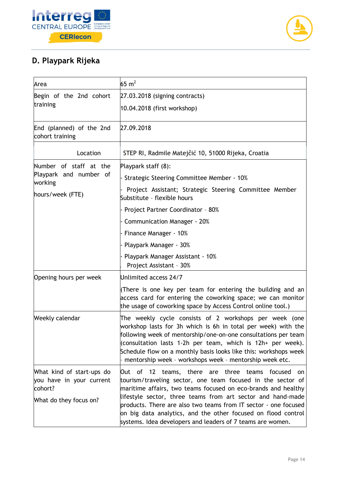



### **D. Playpark Rijeka**

| Area                                                                                       | 65 $m2$                                                                                                                                                                                                                                                                                                                                                                                 |
|--------------------------------------------------------------------------------------------|-----------------------------------------------------------------------------------------------------------------------------------------------------------------------------------------------------------------------------------------------------------------------------------------------------------------------------------------------------------------------------------------|
| Begin of the 2nd cohort<br>training                                                        | 27.03.2018 (signing contracts)                                                                                                                                                                                                                                                                                                                                                          |
|                                                                                            | 10.04.2018 (first workshop)                                                                                                                                                                                                                                                                                                                                                             |
| End (planned) of the 2nd<br>cohort training                                                | 27.09.2018                                                                                                                                                                                                                                                                                                                                                                              |
| Location                                                                                   | STEP RI, Radmile Matejčić 10, 51000 Rijeka, Croatia                                                                                                                                                                                                                                                                                                                                     |
| Number of staff at the                                                                     | Playpark staff (8):                                                                                                                                                                                                                                                                                                                                                                     |
| Playpark and number of<br>working                                                          | Strategic Steering Committee Member - 10%                                                                                                                                                                                                                                                                                                                                               |
| hours/week (FTE)                                                                           | Project Assistant; Strategic Steering Committee Member<br>Substitute - flexible hours                                                                                                                                                                                                                                                                                                   |
|                                                                                            | Project Partner Coordinator - 80%                                                                                                                                                                                                                                                                                                                                                       |
|                                                                                            | <b>Communication Manager - 20%</b>                                                                                                                                                                                                                                                                                                                                                      |
|                                                                                            | Finance Manager - 10%                                                                                                                                                                                                                                                                                                                                                                   |
|                                                                                            | Playpark Manager - 30%                                                                                                                                                                                                                                                                                                                                                                  |
|                                                                                            | Playpark Manager Assistant - 10%<br>Project Assistant - 30%                                                                                                                                                                                                                                                                                                                             |
| Opening hours per week                                                                     | Unlimited access 24/7                                                                                                                                                                                                                                                                                                                                                                   |
|                                                                                            | (There is one key per team for entering the building and an<br>access card for entering the coworking space; we can monitor<br>the usage of coworking space by Access Control online tool.)                                                                                                                                                                                             |
| Weekly calendar                                                                            | The weekly cycle consists of 2 workshops per week (one<br>workshop lasts for 3h which is 6h in total per week) with the<br>following week of mentorship/one-on-one consultations per team<br>(consultation lasts 1-2h per team, which is 12h+ per week).<br>Schedule flow on a monthly basis looks like this: workshops week<br>mentorship week - workshops week - mentorship week etc. |
| What kind of start-ups do<br>you have in your current<br>cohort?<br>What do they focus on? | Out of 12 teams, there are three teams focused<br>on<br>tourism/traveling sector, one team focused in the sector of<br>maritime affairs, two teams focused on eco-brands and healthy<br>lifestyle sector, three teams from art sector and hand-made<br>products. There are also two teams from IT sector - one focused                                                                  |
|                                                                                            | on big data analytics, and the other focused on flood control<br>systems. Idea developers and leaders of 7 teams are women.                                                                                                                                                                                                                                                             |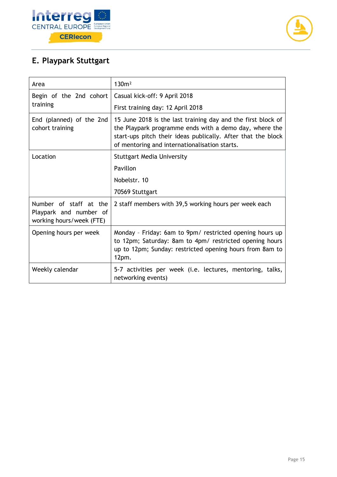



### **E. Playpark Stuttgart**

| Area                                                                         | 130m <sup>2</sup>                                                                                                                                                                                                                       |
|------------------------------------------------------------------------------|-----------------------------------------------------------------------------------------------------------------------------------------------------------------------------------------------------------------------------------------|
| Begin of the 2nd cohort                                                      | Casual kick-off: 9 April 2018                                                                                                                                                                                                           |
| training                                                                     | First training day: 12 April 2018                                                                                                                                                                                                       |
| End (planned) of the 2nd<br>cohort training                                  | 15 June 2018 is the last training day and the first block of<br>the Playpark programme ends with a demo day, where the<br>start-ups pitch their ideas publically. After that the block<br>of mentoring and internationalisation starts. |
| Location                                                                     | <b>Stuttgart Media University</b>                                                                                                                                                                                                       |
|                                                                              | Pavillon                                                                                                                                                                                                                                |
|                                                                              | Nobelstr. 10                                                                                                                                                                                                                            |
|                                                                              | 70569 Stuttgart                                                                                                                                                                                                                         |
| Number of staff at the<br>Playpark and number of<br>working hours/week (FTE) | 2 staff members with 39,5 working hours per week each                                                                                                                                                                                   |
| Opening hours per week                                                       | Monday - Friday: 6am to 9pm/ restricted opening hours up<br>to 12pm; Saturday: 8am to 4pm/ restricted opening hours<br>up to 12pm; Sunday: restricted opening hours from 8am to<br>$12pm$ .                                             |
| Weekly calendar                                                              | 5-7 activities per week (i.e. lectures, mentoring, talks,<br>networking events)                                                                                                                                                         |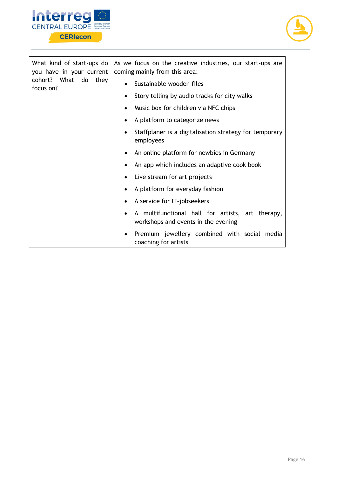



| What kind of start-ups do<br>you have in your current<br>cohort? What do<br>they<br>focus on? | As we focus on the creative industries, our start-ups are<br>coming mainly from this area: |
|-----------------------------------------------------------------------------------------------|--------------------------------------------------------------------------------------------|
|                                                                                               | Sustainable wooden files<br>$\bullet$                                                      |
|                                                                                               | Story telling by audio tracks for city walks<br>$\bullet$                                  |
|                                                                                               | Music box for children via NFC chips                                                       |
|                                                                                               | A platform to categorize news<br>$\bullet$                                                 |
|                                                                                               | Staffplaner is a digitalisation strategy for temporary<br>employees                        |
|                                                                                               | An online platform for newbies in Germany                                                  |
|                                                                                               | An app which includes an adaptive cook book                                                |
|                                                                                               | Live stream for art projects<br>$\bullet$                                                  |
|                                                                                               | A platform for everyday fashion<br>$\bullet$                                               |
|                                                                                               | A service for IT-jobseekers<br>$\bullet$                                                   |
|                                                                                               | A multifunctional hall for artists, art therapy,<br>workshops and events in the evening    |
|                                                                                               | Premium jewellery combined with social media<br>$\bullet$<br>coaching for artists          |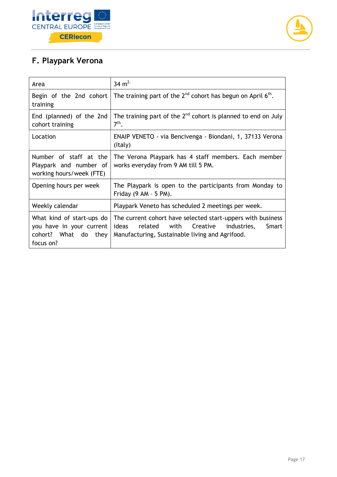



### **F. Playpark Verona**

| Area                                                                                       | 34 $m^2$                                                                                                                                                           |
|--------------------------------------------------------------------------------------------|--------------------------------------------------------------------------------------------------------------------------------------------------------------------|
| training                                                                                   | Begin of the 2nd cohort   The training part of the $2^{nd}$ cohort has begun on April $6^{th}$ .                                                                   |
| End (planned) of the 2nd<br>cohort training                                                | The training part of the $2nd$ cohort is planned to end on July<br>$7th$ .                                                                                         |
| Location                                                                                   | ENAIP VENETO - via Bencivenga - Biondani, 1, 37133 Verona<br>(Italy)                                                                                               |
| Number of staff at the<br>Playpark and number of<br>working hours/week (FTE)               | The Verona Playpark has 4 staff members. Each member<br>works everyday from 9 AM till 5 PM.                                                                        |
| Opening hours per week                                                                     | The Playpark is open to the participants from Monday to<br>Friday $(9 AM - 5 PM)$ .                                                                                |
| Weekly calendar                                                                            | Playpark Veneto has scheduled 2 meetings per week.                                                                                                                 |
| What kind of start-ups do<br>you have in your current<br>cohort? What do they<br>focus on? | The current cohort have selected start-uppers with business<br>ideas related with Creative industries,<br>Smart<br>Manufacturing, Sustainable living and Agrifood. |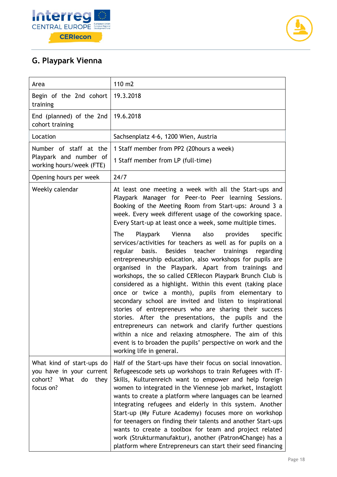



### **G. Playpark Vienna**

| Area                                                                                          | 110 m2                                                                                                                                                                                                                                                                                                                                                                                                                                                                                                                                                                                                                                                                                                                                                                                                                                                                                           |  |
|-----------------------------------------------------------------------------------------------|--------------------------------------------------------------------------------------------------------------------------------------------------------------------------------------------------------------------------------------------------------------------------------------------------------------------------------------------------------------------------------------------------------------------------------------------------------------------------------------------------------------------------------------------------------------------------------------------------------------------------------------------------------------------------------------------------------------------------------------------------------------------------------------------------------------------------------------------------------------------------------------------------|--|
| Begin of the 2nd cohort<br>training                                                           | 19.3.2018                                                                                                                                                                                                                                                                                                                                                                                                                                                                                                                                                                                                                                                                                                                                                                                                                                                                                        |  |
| End (planned) of the 2nd<br>cohort training                                                   | 19.6.2018                                                                                                                                                                                                                                                                                                                                                                                                                                                                                                                                                                                                                                                                                                                                                                                                                                                                                        |  |
| Location                                                                                      | Sachsenplatz 4-6, 1200 Wien, Austria                                                                                                                                                                                                                                                                                                                                                                                                                                                                                                                                                                                                                                                                                                                                                                                                                                                             |  |
| Number of staff at the<br>Playpark and number of<br>working hours/week (FTE)                  | 1 Staff member from PP2 (20hours a week)<br>1 Staff member from LP (full-time)                                                                                                                                                                                                                                                                                                                                                                                                                                                                                                                                                                                                                                                                                                                                                                                                                   |  |
| Opening hours per week                                                                        | 24/7                                                                                                                                                                                                                                                                                                                                                                                                                                                                                                                                                                                                                                                                                                                                                                                                                                                                                             |  |
| Weekly calendar                                                                               | At least one meeting a week with all the Start-ups and<br>Playpark Manager for Peer-to Peer learning Sessions.<br>Booking of the Meeting Room from Start-ups: Around 3 a<br>week. Every week different usage of the coworking space.<br>Every Start-up at least once a week, some multiple times.                                                                                                                                                                                                                                                                                                                                                                                                                                                                                                                                                                                                |  |
|                                                                                               | <b>The</b><br>also<br>Playpark<br>Vienna<br>provides<br>specific<br>services/activities for teachers as well as for pupils on a<br>Besides teacher trainings<br>regular<br>basis.<br>regarding<br>entrepreneurship education, also workshops for pupils are<br>organised in the Playpark. Apart from trainings and<br>workshops, the so called CERIecon Playpark Brunch Club is<br>considered as a highlight. Within this event (taking place<br>once or twice a month), pupils from elementary to<br>secondary school are invited and listen to inspirational<br>stories of entrepreneurs who are sharing their success<br>stories. After the presentations, the pupils and the<br>entrepreneurs can network and clarify further questions<br>within a nice and relaxing atmosphere. The aim of this<br>event is to broaden the pupils' perspective on work and the<br>working life in general. |  |
| What kind of start-ups do<br>you have in your current<br>cohort? What do<br>they<br>focus on? | Half of the Start-ups have their focus on social innovation.<br>Refugeescode sets up workshops to train Refugees with IT-<br>Skills, Kulturenreich want to empower and help foreign<br>women to integrated in the Viennese job market, Instaglott<br>wants to create a platform where languages can be learned<br>integrating refugees and elderly in this system. Another<br>Start-up (My Future Academy) focuses more on workshop<br>for teenagers on finding their talents and another Start-ups<br>wants to create a toolbox for team and project related<br>work (Strukturmanufaktur), another (Patron4Change) has a<br>platform where Entrepreneurs can start their seed financing                                                                                                                                                                                                         |  |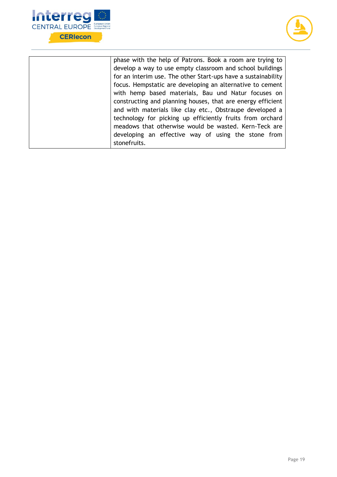



| phase with the help of Patrons. Book a room are trying to     |
|---------------------------------------------------------------|
| develop a way to use empty classroom and school buildings     |
| for an interim use. The other Start-ups have a sustainability |
| focus. Hempstatic are developing an alternative to cement     |
| with hemp based materials, Bau und Natur focuses on           |
| constructing and planning houses, that are energy efficient   |
| and with materials like clay etc., Obstraupe developed a      |
| technology for picking up efficiently fruits from orchard     |
| meadows that otherwise would be wasted. Kern-Teck are         |
| developing an effective way of using the stone from           |
| stonefruits.                                                  |